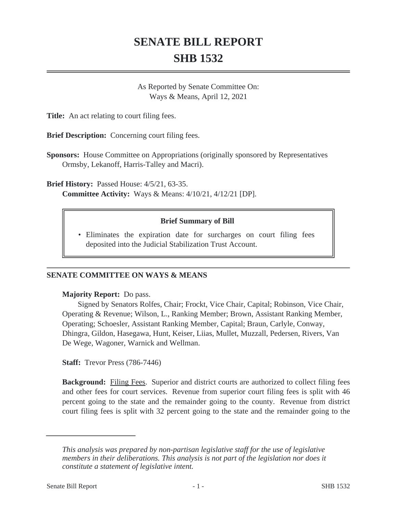# **SENATE BILL REPORT SHB 1532**

As Reported by Senate Committee On: Ways & Means, April 12, 2021

**Title:** An act relating to court filing fees.

**Brief Description:** Concerning court filing fees.

**Sponsors:** House Committee on Appropriations (originally sponsored by Representatives Ormsby, Lekanoff, Harris-Talley and Macri).

**Brief History:** Passed House: 4/5/21, 63-35. **Committee Activity:** Ways & Means: 4/10/21, 4/12/21 [DP].

### **Brief Summary of Bill**

Eliminates the expiration date for surcharges on court filing fees • deposited into the Judicial Stabilization Trust Account.

#### **SENATE COMMITTEE ON WAYS & MEANS**

#### **Majority Report:** Do pass.

Signed by Senators Rolfes, Chair; Frockt, Vice Chair, Capital; Robinson, Vice Chair, Operating & Revenue; Wilson, L., Ranking Member; Brown, Assistant Ranking Member, Operating; Schoesler, Assistant Ranking Member, Capital; Braun, Carlyle, Conway, Dhingra, Gildon, Hasegawa, Hunt, Keiser, Liias, Mullet, Muzzall, Pedersen, Rivers, Van De Wege, Wagoner, Warnick and Wellman.

**Staff:** Trevor Press (786-7446)

**Background:** Filing Fees. Superior and district courts are authorized to collect filing fees and other fees for court services. Revenue from superior court filing fees is split with 46 percent going to the state and the remainder going to the county. Revenue from district court filing fees is split with 32 percent going to the state and the remainder going to the

*This analysis was prepared by non-partisan legislative staff for the use of legislative members in their deliberations. This analysis is not part of the legislation nor does it constitute a statement of legislative intent.*